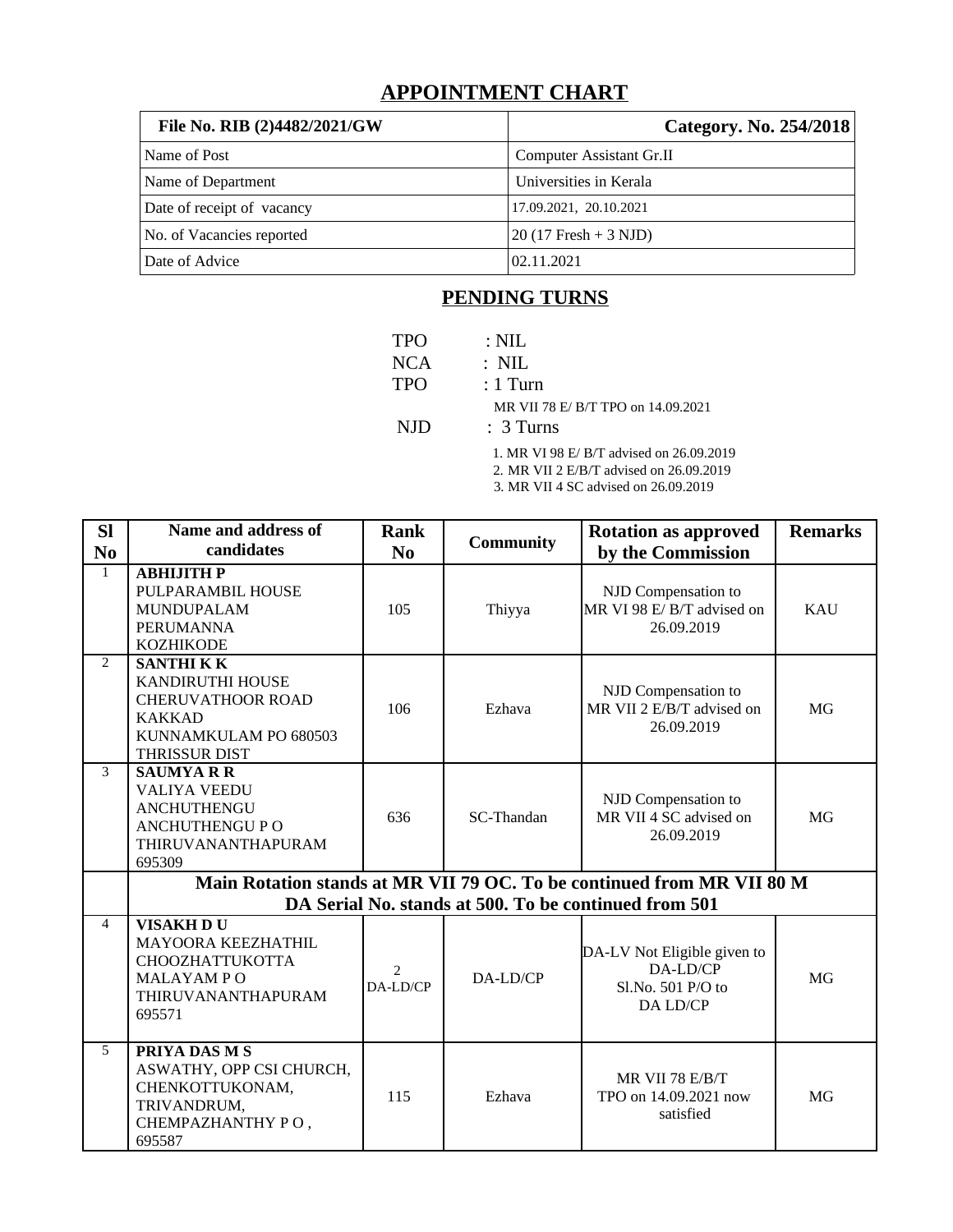## **APPOINTMENT CHART**

| File No. RIB (2)4482/2021/GW | Category. No. 254/2018          |
|------------------------------|---------------------------------|
| Name of Post                 | <b>Computer Assistant Gr.II</b> |
| Name of Department           | Universities in Kerala          |
| Date of receipt of vacancy   | 17.09.2021, 20.10.2021          |
| No. of Vacancies reported    | $20(17$ Fresh + 3 NJD)          |
| Date of Advice               | 02.11.2021                      |

## **PENDING TURNS**

| <b>TPO</b><br>NCA | $\therefore$ NIL<br>$:$ NIL                                                         |
|-------------------|-------------------------------------------------------------------------------------|
| <b>TPO</b>        | $:1$ Turn                                                                           |
| NJD.              | MR VII 78 E/ B/T TPO on 14.09.2021<br>$: 3$ Turns                                   |
|                   | 1. MR VI 98 E/ B/T advised on 26.09.2019<br>2. MR VII 2 E/B/T advised on 26.09.2019 |

3. MR VII 4 SC advised on 26.09.2019

| <b>SI</b>      | <b>Name and address of</b>                                                                                                         | <b>Rank</b><br><b>Community</b> |            | <b>Rotation as approved</b>                                              | <b>Remarks</b> |  |  |
|----------------|------------------------------------------------------------------------------------------------------------------------------------|---------------------------------|------------|--------------------------------------------------------------------------|----------------|--|--|
| N <sub>0</sub> | candidates                                                                                                                         | N <sub>0</sub>                  |            | by the Commission                                                        |                |  |  |
| $\mathbf{1}$   | АВНІЈІТН Р<br>PULPARAMBIL HOUSE<br><b>MUNDUPALAM</b><br><b>PERUMANNA</b><br><b>KOZHIKODE</b>                                       | 105                             | Thiyya     | NJD Compensation to<br>MR VI 98 E/B/T advised on<br>26.09.2019           | <b>KAU</b>     |  |  |
| $\overline{2}$ | <b>SANTHI KK</b><br><b>KANDIRUTHI HOUSE</b><br><b>CHERUVATHOOR ROAD</b><br><b>KAKKAD</b><br>KUNNAMKULAM PO 680503<br>THRISSUR DIST | 106                             | Ezhava     | NJD Compensation to<br>MR VII 2 E/B/T advised on<br>26.09.2019           | <b>MG</b>      |  |  |
| 3              | <b>SAUMYARR</b><br><b>VALIYA VEEDU</b><br>ANCHUTHENGU<br><b>ANCHUTHENGU P O</b><br>THIRUVANANTHAPURAM<br>695309                    | 636                             | SC-Thandan | NJD Compensation to<br>MR VII 4 SC advised on<br>26.09.2019              | MG             |  |  |
|                | Main Rotation stands at MR VII 79 OC. To be continued from MR VII 80 M                                                             |                                 |            |                                                                          |                |  |  |
|                |                                                                                                                                    |                                 |            | DA Serial No. stands at 500. To be continued from 501                    |                |  |  |
| $\overline{4}$ | VISAKH DU<br><b>MAYOORA KEEZHATHIL</b><br>CHOOZHATTUKOTTA<br><b>MALAYAMPO</b><br>THIRUVANANTHAPURAM<br>695571                      | $\mathcal{P}$<br>DA-LD/CP       | DA-LD/CP   | DA-LV Not Eligible given to<br>DA-LD/CP<br>Sl.No. 501 P/O to<br>DA LD/CP | <b>MG</b>      |  |  |
| 5              | PRIYA DAS M S<br>ASWATHY, OPP CSI CHURCH,<br>CHENKOTTUKONAM,<br>TRIVANDRUM,<br>CHEMPAZHANTHY PO,<br>695587                         | 115                             | Ezhava     | MR VII 78 E/B/T<br>TPO on 14.09.2021 now<br>satisfied                    | <b>MG</b>      |  |  |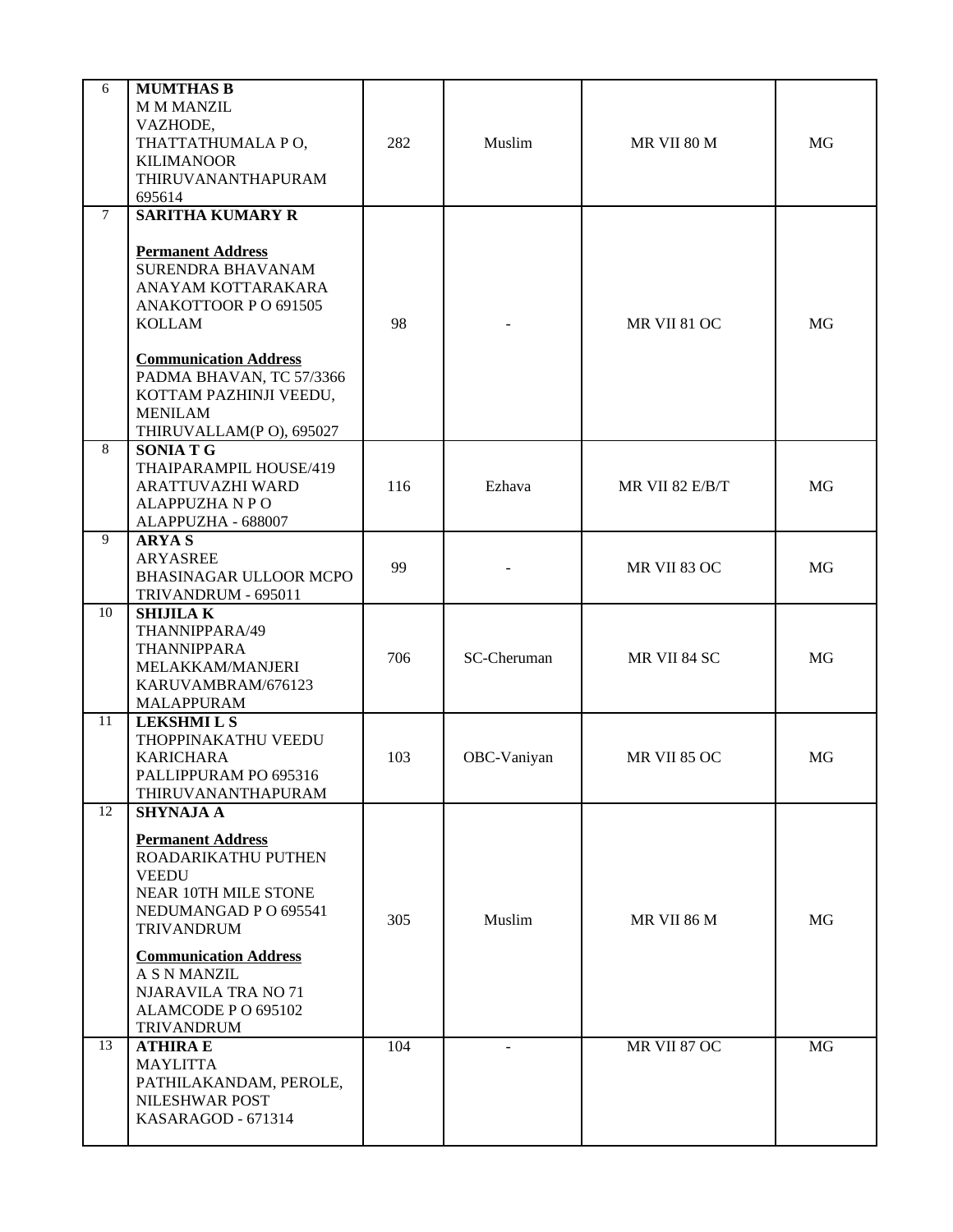| 6              | <b>MUMTHAS B</b><br><b>M M MANZIL</b><br>VAZHODE,<br>THATTATHUMALA PO,<br><b>KILIMANOOR</b><br>THIRUVANANTHAPURAM<br>695614                                                                                                                                                                | 282 | Muslim         | MR VII 80 M     | MG        |
|----------------|--------------------------------------------------------------------------------------------------------------------------------------------------------------------------------------------------------------------------------------------------------------------------------------------|-----|----------------|-----------------|-----------|
| $\overline{7}$ | <b>SARITHA KUMARY R</b><br><b>Permanent Address</b><br><b>SURENDRA BHAVANAM</b><br>ANAYAM KOTTARAKARA<br>ANAKOTTOOR P O 691505<br>KOLLAM<br><b>Communication Address</b><br>PADMA BHAVAN, TC 57/3366<br>KOTTAM PAZHINJI VEEDU,<br><b>MENILAM</b><br>THIRUVALLAM(P O), 695027               | 98  |                | MR VII 81 OC    | MG        |
| 8              | <b>SONIATG</b><br>THAIPARAMPIL HOUSE/419<br>ARATTUVAZHI WARD<br><b>ALAPPUZHA N P O</b><br>ALAPPUZHA - 688007                                                                                                                                                                               | 116 | Ezhava         | MR VII 82 E/B/T | <b>MG</b> |
| 9              | <b>ARYAS</b><br><b>ARYASREE</b><br>BHASINAGAR ULLOOR MCPO<br>TRIVANDRUM - 695011                                                                                                                                                                                                           | 99  |                | MR VII 83 OC    | MG        |
| 10             | <b>SHIJILAK</b><br>THANNIPPARA/49<br>THANNIPPARA<br>MELAKKAM/MANJERI<br>KARUVAMBRAM/676123<br>MALAPPURAM                                                                                                                                                                                   | 706 | SC-Cheruman    | MR VII 84 SC    | <b>MG</b> |
| 11             | <b>LEKSHMI L S</b><br>THOPPINAKATHU VEEDU<br><b>KARICHARA</b><br>PALLIPPURAM PO 695316<br>THIRUVANANTHAPURAM                                                                                                                                                                               | 103 | OBC-Vaniyan    | MR VII 85 OC    | MG        |
| 12             | <b>SHYNAJA A</b><br><b>Permanent Address</b><br>ROADARIKATHU PUTHEN<br><b>VEEDU</b><br>NEAR 10TH MILE STONE<br>NEDUMANGAD P O 695541<br><b>TRIVANDRUM</b><br><b>Communication Address</b><br><b>A S N MANZIL</b><br><b>NJARAVILA TRA NO 71</b><br>ALAMCODE P O 695102<br><b>TRIVANDRUM</b> | 305 | Muslim         | MR VII 86 M     | MG        |
| 13             | <b>ATHIRA E</b><br><b>MAYLITTA</b><br>PATHILAKANDAM, PEROLE,<br>NILESHWAR POST<br>KASARAGOD - 671314                                                                                                                                                                                       | 104 | $\overline{a}$ | MR VII 87 OC    | MG        |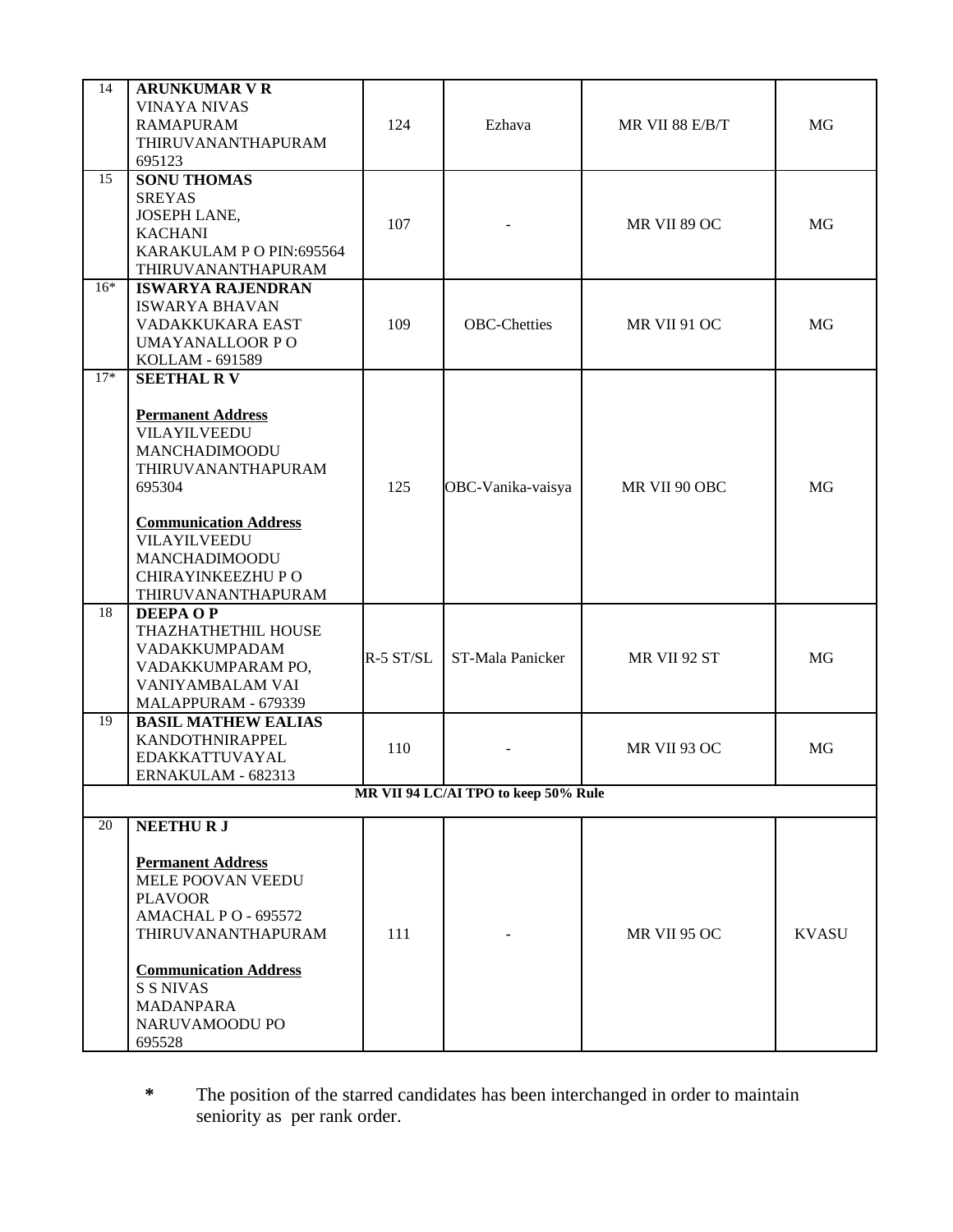| 14                                   | <b>ARUNKUMAR V R</b><br><b>VINAYA NIVAS</b><br><b>RAMAPURAM</b><br>THIRUVANANTHAPURAM<br>695123                                                                                                                                     | 124       | Ezhava              | MR VII 88 E/B/T | <b>MG</b>    |  |  |
|--------------------------------------|-------------------------------------------------------------------------------------------------------------------------------------------------------------------------------------------------------------------------------------|-----------|---------------------|-----------------|--------------|--|--|
| 15                                   | <b>SONU THOMAS</b><br><b>SREYAS</b><br>JOSEPH LANE,<br><b>KACHANI</b><br>KARAKULAM P O PIN:695564<br>THIRUVANANTHAPURAM                                                                                                             | 107       |                     | MR VII 89 OC    | MG           |  |  |
| $16*$                                | <b>ISWARYA RAJENDRAN</b><br><b>ISWARYA BHAVAN</b><br>VADAKKUKARA EAST<br><b>UMAYANALLOOR PO</b><br>KOLLAM - 691589                                                                                                                  | 109       | <b>OBC-Chetties</b> | MR VII 91 OC    | MG           |  |  |
| $17*$                                | <b>SEETHAL RV</b><br><b>Permanent Address</b><br>VILAYILVEEDU<br>MANCHADIMOODU<br>THIRUVANANTHAPURAM<br>695304<br><b>Communication Address</b><br>VILAYILVEEDU<br>MANCHADIMOODU<br>CHIRAYINKEEZHU P O<br>THIRUVANANTHAPURAM         | 125       | OBC-Vanika-vaisya   | MR VII 90 OBC   | <b>MG</b>    |  |  |
| 18                                   | <b>DEEPAOP</b><br>THAZHATHETHIL HOUSE<br>VADAKKUMPADAM<br>VADAKKUMPARAM PO,<br>VANIYAMBALAM VAI<br>MALAPPURAM - 679339                                                                                                              | R-5 ST/SL | ST-Mala Panicker    | MR VII 92 ST    | MG           |  |  |
| 19                                   | <b>BASIL MATHEW EALIAS</b><br>KANDOTHNIRAPPEL<br>EDAKKATTUVAYAL<br>ERNAKULAM - 682313                                                                                                                                               | 110       |                     | MR VII 93 OC    | MG           |  |  |
| MR VII 94 LC/AI TPO to keep 50% Rule |                                                                                                                                                                                                                                     |           |                     |                 |              |  |  |
| 20                                   | <b>NEETHURJ</b><br><b>Permanent Address</b><br>MELE POOVAN VEEDU<br><b>PLAVOOR</b><br>AMACHAL PO - 695572<br>THIRUVANANTHAPURAM<br><b>Communication Address</b><br><b>S S NIVAS</b><br><b>MADANPARA</b><br>NARUVAMOODU PO<br>695528 | 111       |                     | MR VII 95 OC    | <b>KVASU</b> |  |  |

**\*** The position of the starred candidates has been interchanged in order to maintain seniority as per rank order.